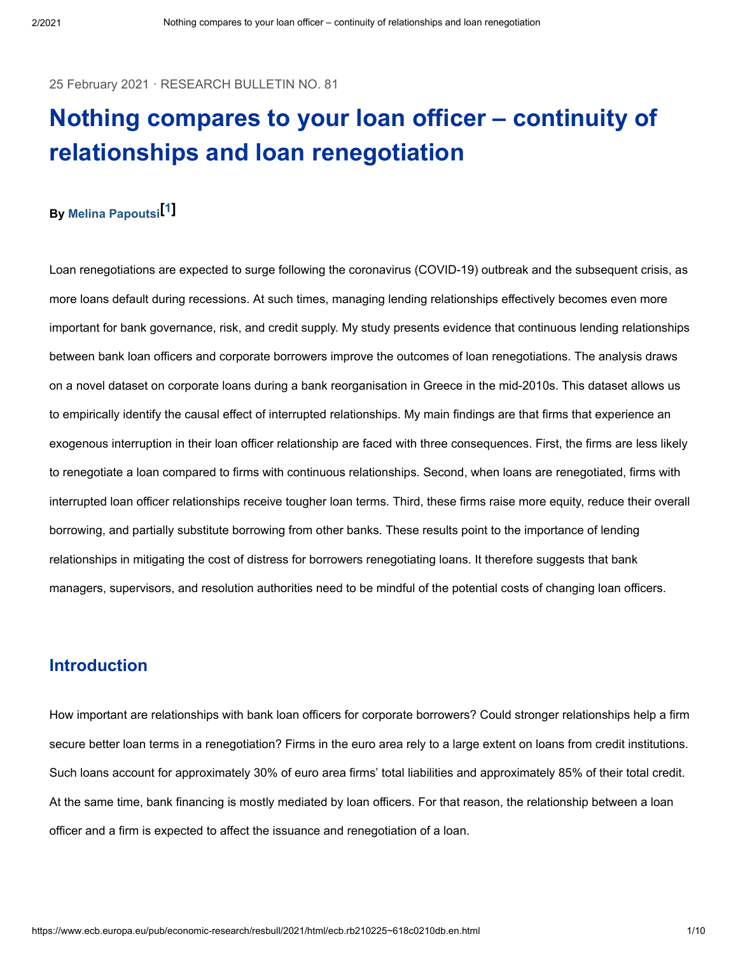25 February 2021 · RESEARCH BULLETIN NO. 81

# **Nothing compares to your loan officer – continuity of relationships and loan renegotiation**

## **By [ ] [Melina Papoutsi](https://www.ecb.europa.eu/pub/research/authors/profiles/melina-papoutsi.en.html) <sup>1</sup>**

Loan renegotiations are expected to surge following the coronavirus (COVID-19) outbreak and the subsequent crisis, as more loans default during recessions. At such times, managing lending relationships effectively becomes even more important for bank governance, risk, and credit supply. My study presents evidence that continuous lending relationships between bank loan officers and corporate borrowers improve the outcomes of loan renegotiations. The analysis draws on a novel dataset on corporate loans during a bank reorganisation in Greece in the mid-2010s. This dataset allows us to empirically identify the causal effect of interrupted relationships. My main findings are that firms that experience an exogenous interruption in their loan officer relationship are faced with three consequences. First, the firms are less likely to renegotiate a loan compared to firms with continuous relationships. Second, when loans are renegotiated, firms with interrupted loan officer relationships receive tougher loan terms. Third, these firms raise more equity, reduce their overall borrowing, and partially substitute borrowing from other banks. These results point to the importance of lending relationships in mitigating the cost of distress for borrowers renegotiating loans. It therefore suggests that bank managers, supervisors, and resolution authorities need to be mindful of the potential costs of changing loan officers.

## **Introduction**

How important are relationships with bank loan officers for corporate borrowers? Could stronger relationships help a firm secure better loan terms in a renegotiation? Firms in the euro area rely to a large extent on loans from credit institutions. Such loans account for approximately 30% of euro area firms' total liabilities and approximately 85% of their total credit. At the same time, bank financing is mostly mediated by loan officers. For that reason, the relationship between a loan officer and a firm is expected to affect the issuance and renegotiation of a loan.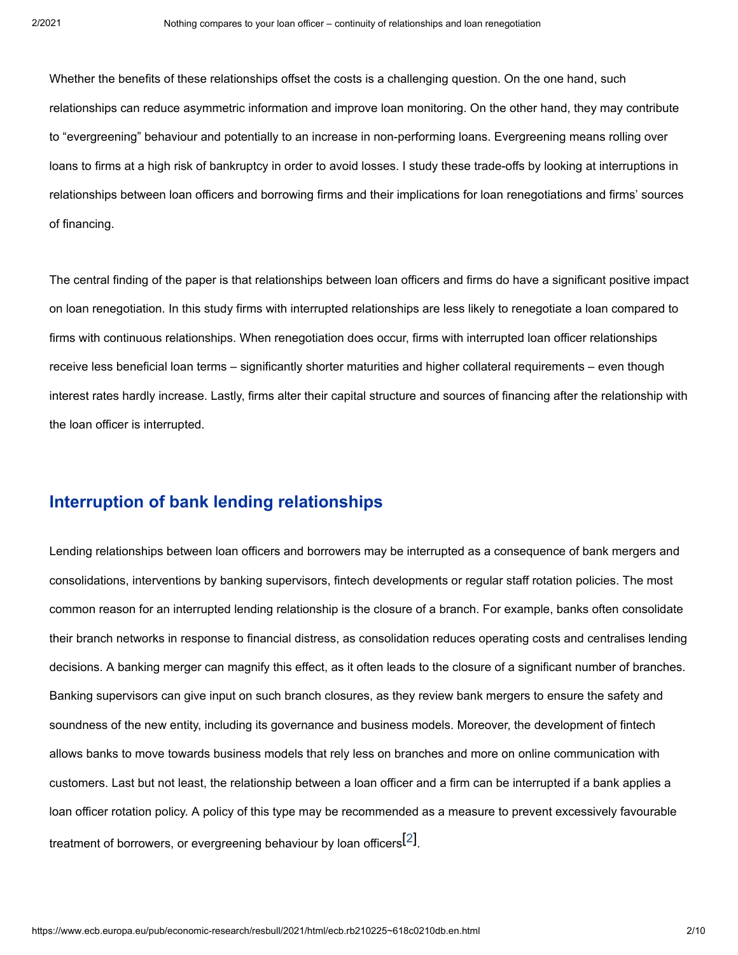Whether the benefits of these relationships offset the costs is a challenging question. On the one hand, such relationships can reduce asymmetric information and improve loan monitoring. On the other hand, they may contribute to "evergreening" behaviour and potentially to an increase in non-performing loans. Evergreening means rolling over loans to firms at a high risk of bankruptcy in order to avoid losses. I study these trade-offs by looking at interruptions in relationships between loan officers and borrowing firms and their implications for loan renegotiations and firms' sources of financing.

The central finding of the paper is that relationships between loan officers and firms do have a significant positive impact on loan renegotiation. In this study firms with interrupted relationships are less likely to renegotiate a loan compared to firms with continuous relationships. When renegotiation does occur, firms with interrupted loan officer relationships receive less beneficial loan terms – significantly shorter maturities and higher collateral requirements – even though interest rates hardly increase. Lastly, firms alter their capital structure and sources of financing after the relationship with the loan officer is interrupted.

## **Interruption of bank lending relationships**

Lending relationships between loan officers and borrowers may be interrupted as a consequence of bank mergers and consolidations, interventions by banking supervisors, fintech developments or regular staff rotation policies. The most common reason for an interrupted lending relationship is the closure of a branch. For example, banks often consolidate their branch networks in response to financial distress, as consolidation reduces operating costs and centralises lending decisions. A banking merger can magnify this effect, as it often leads to the closure of a significant number of branches. Banking supervisors can give input on such branch closures, as they review bank mergers to ensure the safety and soundness of the new entity, including its governance and business models. Moreover, the development of fintech allows banks to move towards business models that rely less on branches and more on online communication with customers. Last but not least, the relationship between a loan officer and a firm can be interrupted if a bank applies a loan officer rotation policy. A policy of this type may be recommended as a measure to prevent excessively favourable treatment of borrowers, or evergreening behaviour by loan officers $^{[2]}$ .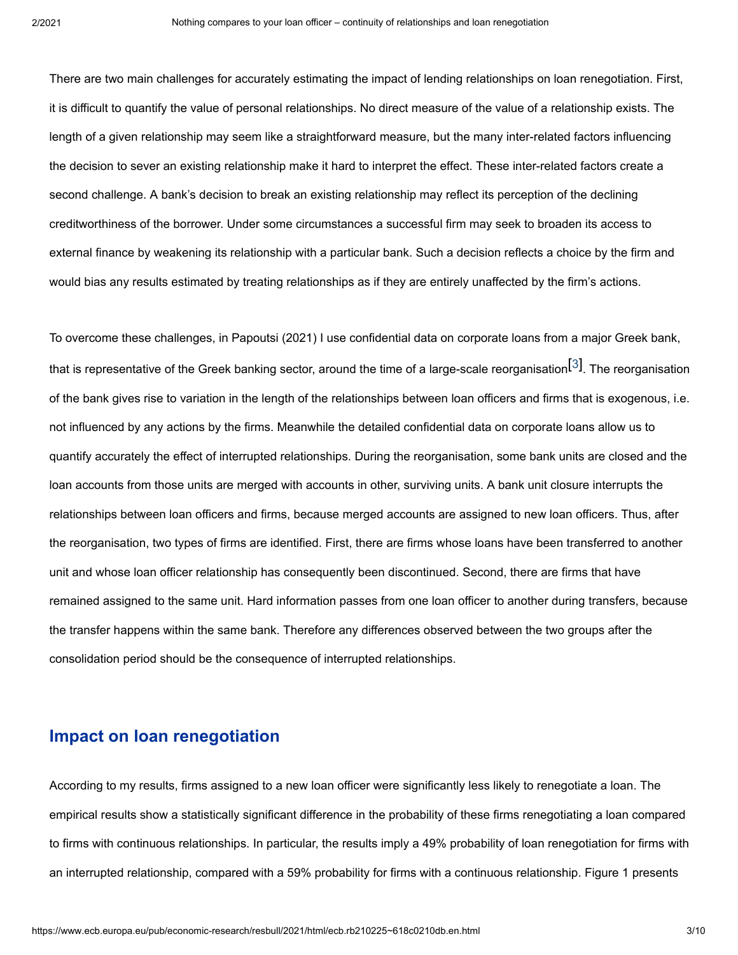There are two main challenges for accurately estimating the impact of lending relationships on loan renegotiation. First, it is difficult to quantify the value of personal relationships. No direct measure of the value of a relationship exists. The length of a given relationship may seem like a straightforward measure, but the many inter-related factors influencing the decision to sever an existing relationship make it hard to interpret the effect. These inter-related factors create a second challenge. A bank's decision to break an existing relationship may reflect its perception of the declining creditworthiness of the borrower. Under some circumstances a successful firm may seek to broaden its access to external finance by weakening its relationship with a particular bank. Such a decision reflects a choice by the firm and would bias any results estimated by treating relationships as if they are entirely unaffected by the firm's actions.

To overcome these challenges, in Papoutsi (2021) I use confidential data on corporate loans from a major Greek bank, that is representative of the Greek banking sector, around the time of a large-scale reorganisation $^{\left[ 3\right] }$ . The reorganisation of the bank gives rise to variation in the length of the relationships between loan officers and firms that is exogenous, i.e. not influenced by any actions by the firms. Meanwhile the detailed confidential data on corporate loans allow us to quantify accurately the effect of interrupted relationships. During the reorganisation, some bank units are closed and the loan accounts from those units are merged with accounts in other, surviving units. A bank unit closure interrupts the relationships between loan officers and firms, because merged accounts are assigned to new loan officers. Thus, after the reorganisation, two types of firms are identified. First, there are firms whose loans have been transferred to another unit and whose loan officer relationship has consequently been discontinued. Second, there are firms that have remained assigned to the same unit. Hard information passes from one loan officer to another during transfers, because the transfer happens within the same bank. Therefore any differences observed between the two groups after the consolidation period should be the consequence of interrupted relationships.

## **Impact on loan renegotiation**

According to my results, firms assigned to a new loan officer were significantly less likely to renegotiate a loan. The empirical results show a statistically significant difference in the probability of these firms renegotiating a loan compared to firms with continuous relationships. In particular, the results imply a 49% probability of loan renegotiation for firms with an interrupted relationship, compared with a 59% probability for firms with a continuous relationship. Figure 1 presents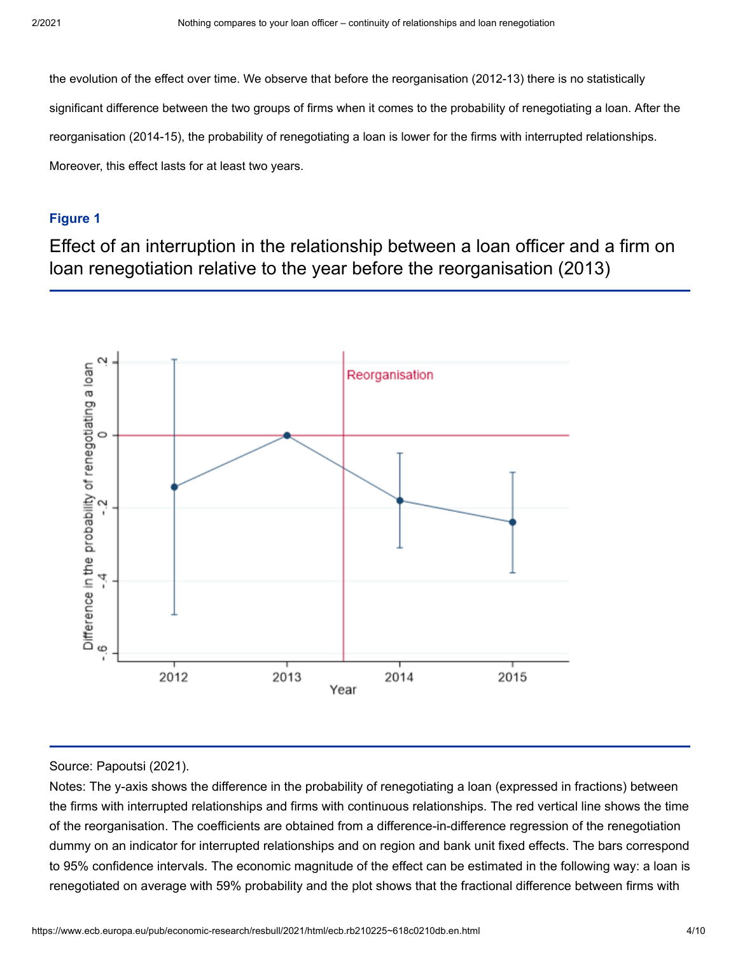the evolution of the effect over time. We observe that before the reorganisation (2012-13) there is no statistically significant difference between the two groups of firms when it comes to the probability of renegotiating a loan. After the reorganisation (2014-15), the probability of renegotiating a loan is lower for the firms with interrupted relationships. Moreover, this effect lasts for at least two years.

#### **Figure 1**

Effect of an interruption in the relationship between a loan officer and a firm on loan renegotiation relative to the year before the reorganisation (2013)



#### Source: Papoutsi (2021).

Notes: The y-axis shows the difference in the probability of renegotiating a loan (expressed in fractions) between the firms with interrupted relationships and firms with continuous relationships. The red vertical line shows the time of the reorganisation. The coefficients are obtained from a difference-in-difference regression of the renegotiation dummy on an indicator for interrupted relationships and on region and bank unit fixed effects. The bars correspond to 95% confidence intervals. The economic magnitude of the effect can be estimated in the following way: a loan is renegotiated on average with 59% probability and the plot shows that the fractional difference between firms with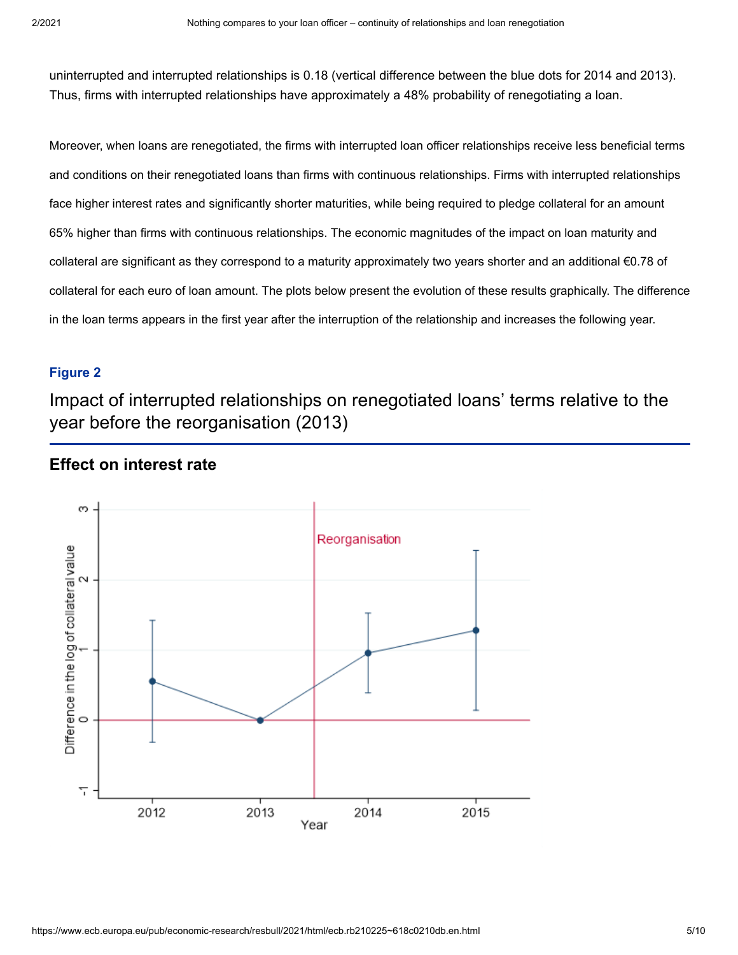uninterrupted and interrupted relationships is 0.18 (vertical difference between the blue dots for 2014 and 2013). Thus, firms with interrupted relationships have approximately a 48% probability of renegotiating a loan.

Moreover, when loans are renegotiated, the firms with interrupted loan officer relationships receive less beneficial terms and conditions on their renegotiated loans than firms with continuous relationships. Firms with interrupted relationships face higher interest rates and significantly shorter maturities, while being required to pledge collateral for an amount 65% higher than firms with continuous relationships. The economic magnitudes of the impact on loan maturity and collateral are significant as they correspond to a maturity approximately two years shorter and an additional €0.78 of collateral for each euro of loan amount. The plots below present the evolution of these results graphically. The difference in the loan terms appears in the first year after the interruption of the relationship and increases the following year.

#### **Figure 2**

Impact of interrupted relationships on renegotiated loans' terms relative to the year before the reorganisation (2013)

### **Effect on interest rate**

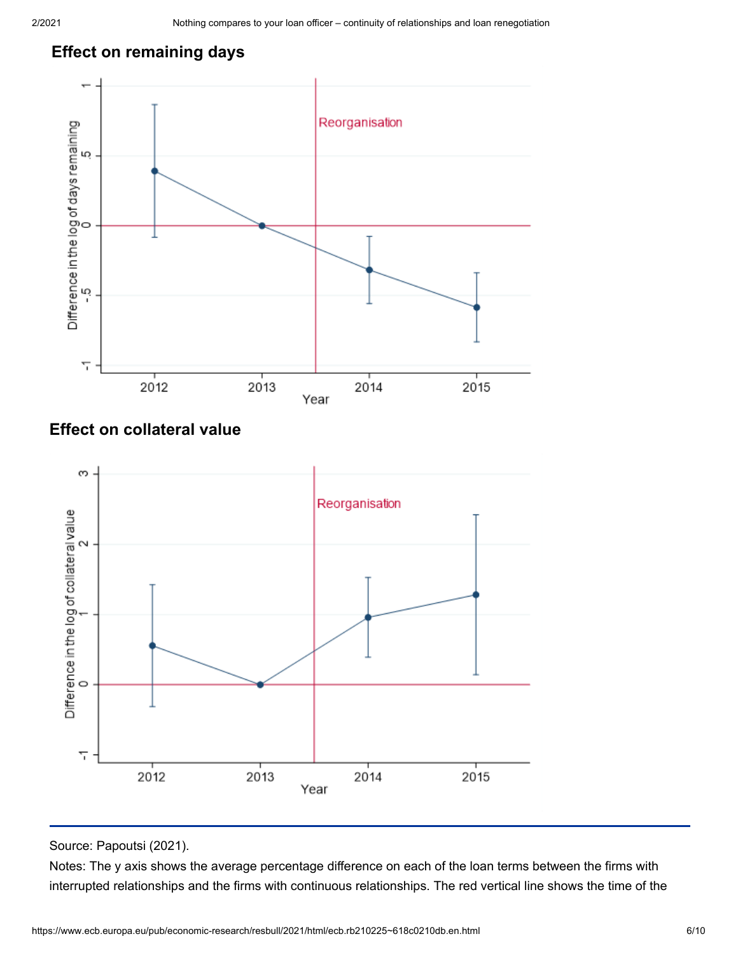## **Effect on remaining days**



## **Effect on collateral value**



Source: Papoutsi (2021).

Notes: The y axis shows the average percentage difference on each of the loan terms between the firms with interrupted relationships and the firms with continuous relationships. The red vertical line shows the time of the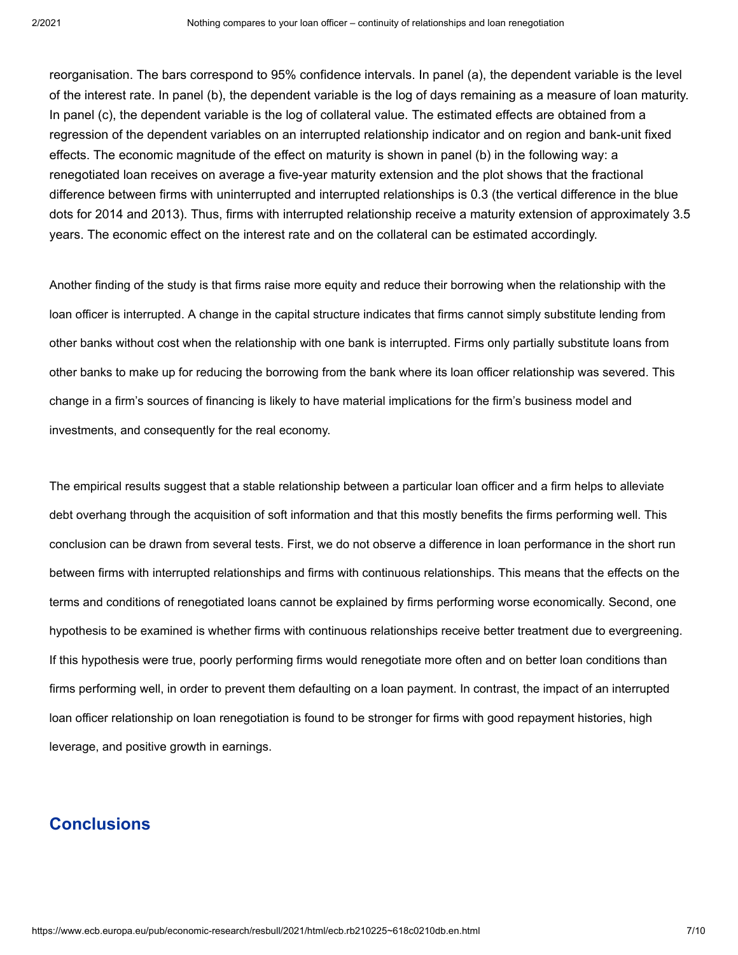reorganisation. The bars correspond to 95% confidence intervals. In panel (a), the dependent variable is the level of the interest rate. In panel (b), the dependent variable is the log of days remaining as a measure of loan maturity. In panel (c), the dependent variable is the log of collateral value. The estimated effects are obtained from a regression of the dependent variables on an interrupted relationship indicator and on region and bank-unit fixed effects. The economic magnitude of the effect on maturity is shown in panel (b) in the following way: a renegotiated loan receives on average a five-year maturity extension and the plot shows that the fractional difference between firms with uninterrupted and interrupted relationships is 0.3 (the vertical difference in the blue dots for 2014 and 2013). Thus, firms with interrupted relationship receive a maturity extension of approximately 3.5 years. The economic effect on the interest rate and on the collateral can be estimated accordingly.

Another finding of the study is that firms raise more equity and reduce their borrowing when the relationship with the loan officer is interrupted. A change in the capital structure indicates that firms cannot simply substitute lending from other banks without cost when the relationship with one bank is interrupted. Firms only partially substitute loans from other banks to make up for reducing the borrowing from the bank where its loan officer relationship was severed. This change in a firm's sources of financing is likely to have material implications for the firm's business model and investments, and consequently for the real economy.

The empirical results suggest that a stable relationship between a particular loan officer and a firm helps to alleviate debt overhang through the acquisition of soft information and that this mostly benefits the firms performing well. This conclusion can be drawn from several tests. First, we do not observe a difference in loan performance in the short run between firms with interrupted relationships and firms with continuous relationships. This means that the effects on the terms and conditions of renegotiated loans cannot be explained by firms performing worse economically. Second, one hypothesis to be examined is whether firms with continuous relationships receive better treatment due to evergreening. If this hypothesis were true, poorly performing firms would renegotiate more often and on better loan conditions than firms performing well, in order to prevent them defaulting on a loan payment. In contrast, the impact of an interrupted loan officer relationship on loan renegotiation is found to be stronger for firms with good repayment histories, high leverage, and positive growth in earnings.

## **Conclusions**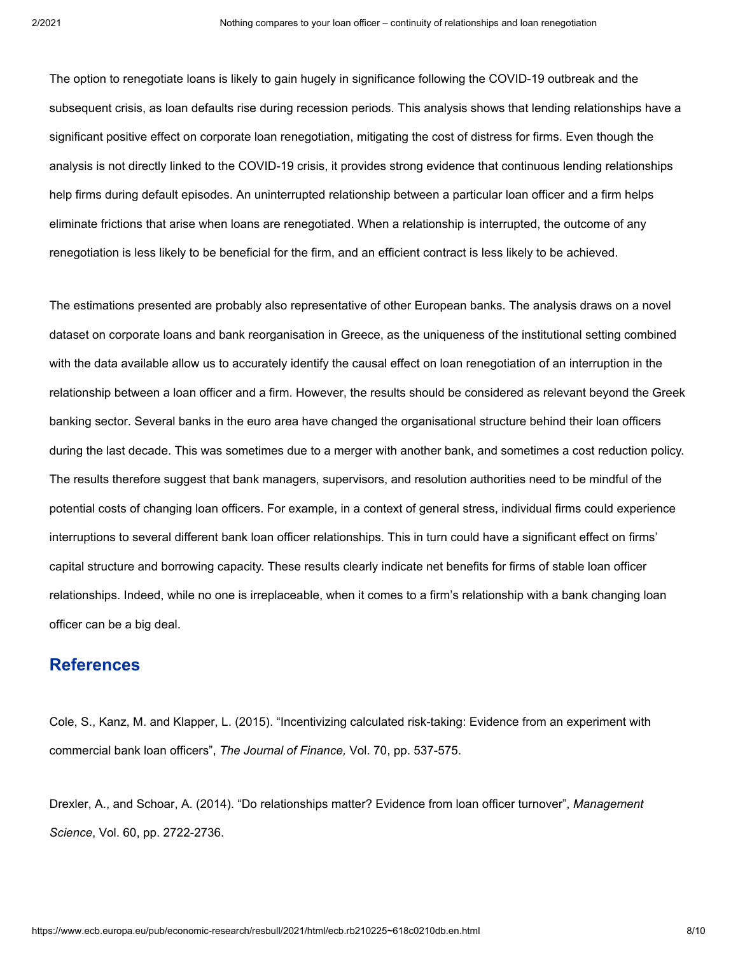The option to renegotiate loans is likely to gain hugely in significance following the COVID-19 outbreak and the subsequent crisis, as loan defaults rise during recession periods. This analysis shows that lending relationships have a significant positive effect on corporate loan renegotiation, mitigating the cost of distress for firms. Even though the analysis is not directly linked to the COVID-19 crisis, it provides strong evidence that continuous lending relationships help firms during default episodes. An uninterrupted relationship between a particular loan officer and a firm helps eliminate frictions that arise when loans are renegotiated. When a relationship is interrupted, the outcome of any renegotiation is less likely to be beneficial for the firm, and an efficient contract is less likely to be achieved.

The estimations presented are probably also representative of other European banks. The analysis draws on a novel dataset on corporate loans and bank reorganisation in Greece, as the uniqueness of the institutional setting combined with the data available allow us to accurately identify the causal effect on loan renegotiation of an interruption in the relationship between a loan officer and a firm. However, the results should be considered as relevant beyond the Greek banking sector. Several banks in the euro area have changed the organisational structure behind their loan officers during the last decade. This was sometimes due to a merger with another bank, and sometimes a cost reduction policy. The results therefore suggest that bank managers, supervisors, and resolution authorities need to be mindful of the potential costs of changing loan officers. For example, in a context of general stress, individual firms could experience interruptions to several different bank loan officer relationships. This in turn could have a significant effect on firms' capital structure and borrowing capacity. These results clearly indicate net benefits for firms of stable loan officer relationships. Indeed, while no one is irreplaceable, when it comes to a firm's relationship with a bank changing loan officer can be a big deal.

## **References**

Cole, S., Kanz, M. and Klapper, L. (2015). "Incentivizing calculated risk-taking: Evidence from an experiment with commercial bank loan officers", *The Journal of Finance,* Vol. 70, pp. 537-575.

Drexler, A., and Schoar, A. (2014). "Do relationships matter? Evidence from loan officer turnover", *Management Science*, Vol. 60, pp. 2722-2736.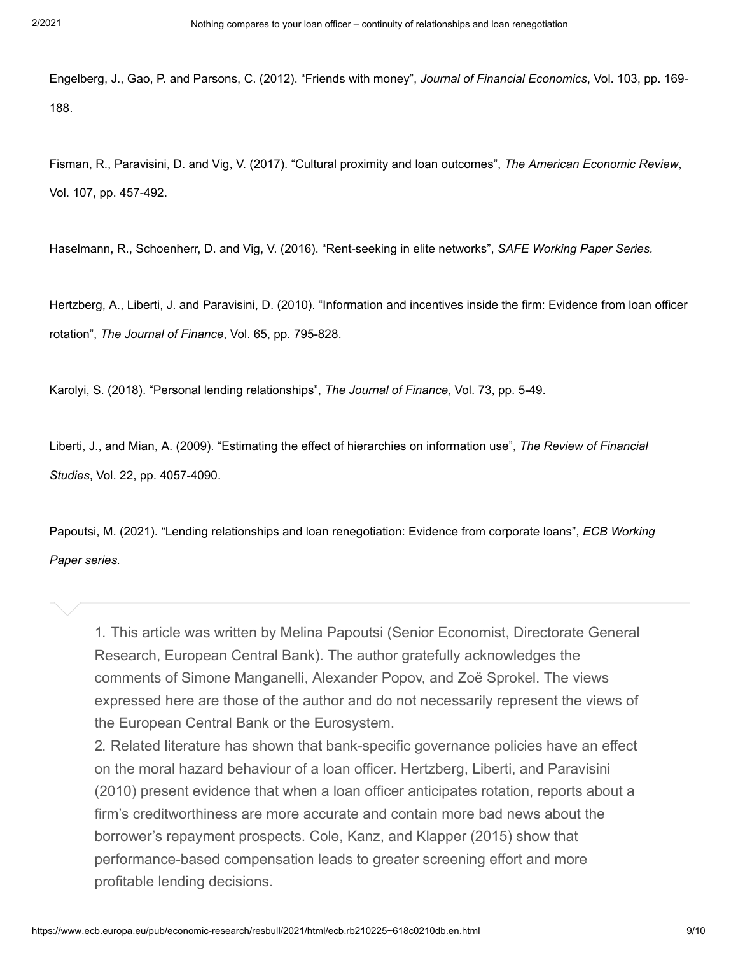Engelberg, J., Gao, P. and Parsons, C. (2012). "Friends with money", *Journal of Financial Economics*, Vol. 103, pp. 169- 188.

Fisman, R., Paravisini, D. and Vig, V. (2017). "Cultural proximity and loan outcomes", *The American Economic Review*, Vol. 107, pp. 457-492.

Haselmann, R., Schoenherr, D. and Vig, V. (2016). "Rent-seeking in elite networks", *SAFE Working Paper Series.*

Hertzberg, A., Liberti, J. and Paravisini, D. (2010). "Information and incentives inside the firm: Evidence from loan officer rotation", *The Journal of Finance*, Vol. 65, pp. 795-828.

Karolyi, S. (2018). "Personal lending relationships", *The Journal of Finance*, Vol. 73, pp. 5-49.

Liberti, J., and Mian, A. (2009). "Estimating the effect of hierarchies on information use", *The Review of Financial Studies*, Vol. 22, pp. 4057-4090.

Papoutsi, M. (2021). "Lending relationships and loan renegotiation: Evidence from corporate loans", *ECB Working Paper series.*

1. This article was written by Melina Papoutsi (Senior Economist, Directorate General Research, European Central Bank). The author gratefully acknowledges the comments of Simone Manganelli, Alexander Popov, and Zoë Sprokel. The views expressed here are those of the author and do not necessarily represent the views of the European Central Bank or the Eurosystem.

2. Related literature has shown that bank-specific governance policies have an effect on the moral hazard behaviour of a loan officer. Hertzberg, Liberti, and Paravisini (2010) present evidence that when a loan officer anticipates rotation, reports about a firm's creditworthiness are more accurate and contain more bad news about the borrower's repayment prospects. Cole, Kanz, and Klapper (2015) show that performance-based compensation leads to greater screening effort and more profitable lending decisions.